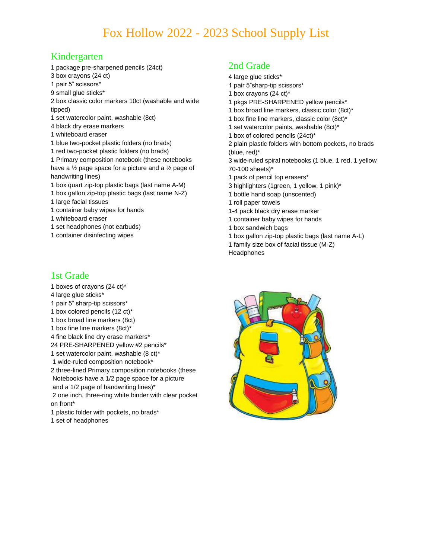# Fox Hollow 2022 - 2023 School Supply List

## Kindergarten

1 package pre-sharpened pencils (24ct)

3 box crayons (24 ct)

- 1 pair 5" scissors\*
- 9 small glue sticks\*

2 box classic color markers 10ct (washable and wide tipped)

- 1 set watercolor paint, washable (8ct)
- 4 black dry erase markers
- 1 whiteboard eraser
- 1 blue two-pocket plastic folders (no brads)
- 1 red two-pocket plastic folders (no brads)

1 Primary composition notebook (these notebooks have a ½ page space for a picture and a ½ page of handwriting lines)

- 1 box quart zip-top plastic bags (last name A-M)
- 1 box gallon zip-top plastic bags (last name N-Z)
- 1 large facial tissues
- 1 container baby wipes for hands
- 1 whiteboard eraser
- 1 set headphones (not earbuds)
- 1 container disinfecting wipes

## 1st Grade

- 1 boxes of crayons (24 ct)\*
- 4 large glue sticks\*
- 1 pair 5" sharp-tip scissors\*
- 1 box colored pencils (12 ct)\*
- 1 box broad line markers (8ct)
- 1 box fine line markers (8ct)\*
- 4 fine black line dry erase markers\*
- 24 PRE-SHARPENED yellow #2 pencils\*
- 1 set watercolor paint, washable (8 ct)\*
- 1 wide-ruled composition notebook\*

2 three-lined Primary composition notebooks (these Notebooks have a 1/2 page space for a picture and a 1/2 page of handwriting lines)\*

2 one inch, three-ring white binder with clear pocket on front\*

- 1 plastic folder with pockets, no brads\*
- 1 set of headphones

# 2nd Grade

- 4 large glue sticks\*
- 1 pair 5"sharp-tip scissors\*
- 1 box crayons (24 ct)\*
- 1 pkgs PRE-SHARPENED yellow pencils\*
- 1 box broad line markers, classic color (8ct)\*
- 1 box fine line markers, classic color (8ct)\*
- 1 set watercolor paints, washable (8ct)\*
- 1 box of colored pencils (24ct)\*

2 plain plastic folders with bottom pockets, no brads (blue, red)\*

- 3 wide-ruled spiral notebooks (1 blue, 1 red, 1 yellow 70-100 sheets)\*
- 1 pack of pencil top erasers\*
- 3 highlighters (1green, 1 yellow, 1 pink)\*
- 1 bottle hand soap (unscented)
- 1 roll paper towels
- 1-4 pack black dry erase marker
- 1 container baby wipes for hands
- 1 box sandwich bags
- 1 box gallon zip-top plastic bags (last name A-L)
- 1 family size box of facial tissue (M-Z)
- **Headphones**